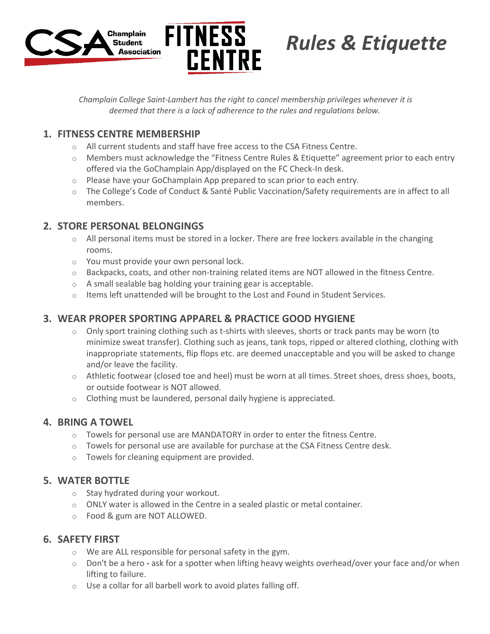



# *Rules & Etiquette*

*Champlain College Saint-Lambert has the right to cancel membership privileges whenever it is deemed that there is a lack of adherence to the rules and regulations below.*

## **1. FITNESS CENTRE MEMBERSHIP**

- o All current students and staff have free access to the CSA Fitness Centre.
- o Members must acknowledge the "Fitness Centre Rules & Etiquette" agreement prior to each entry offered via the GoChamplain App/displayed on the FC Check-In desk.
- o Please have your GoChamplain App prepared to scan prior to each entry.
- o The College's Code of Conduct & Santé Public Vaccination/Safety requirements are in affect to all members.

### **2. STORE PERSONAL BELONGINGS**

- $\circ$  All personal items must be stored in a locker. There are free lockers available in the changing rooms.
- o You must provide your own personal lock.
- $\circ$  Backpacks, coats, and other non-training related items are NOT allowed in the fitness Centre.
- o A small sealable bag holding your training gear is acceptable.
- o Items left unattended will be brought to the Lost and Found in Student Services.

## **3. WEAR PROPER SPORTING APPAREL & PRACTICE GOOD HYGIENE**

- $\circ$  Only sport training clothing such as t-shirts with sleeves, shorts or track pants may be worn (to minimize sweat transfer). Clothing such as jeans, tank tops, ripped or altered clothing, clothing with inappropriate statements, flip flops etc. are deemed unacceptable and you will be asked to change and/or leave the facility.
- $\circ$  Athletic footwear (closed toe and heel) must be worn at all times. Street shoes, dress shoes, boots, or outside footwear is NOT allowed.
- $\circ$  Clothing must be laundered, personal daily hygiene is appreciated.

#### **4. BRING A TOWEL**

- $\circ$  Towels for personal use are MANDATORY in order to enter the fitness Centre.
- $\circ$  Towels for personal use are available for purchase at the CSA Fitness Centre desk.
- o Towels for cleaning equipment are provided.

#### **5. WATER BOTTLE**

- o Stay hydrated during your workout.
- $\circ$  ONLY water is allowed in the Centre in a sealed plastic or metal container.
- o Food & gum are NOT ALLOWED.

#### **6. SAFETY FIRST**

- o We are ALL responsible for personal safety in the gym.
- o Don't be a hero **-** ask for a spotter when lifting heavy weights overhead/over your face and/or when lifting to failure.
- o Use a collar for all barbell work to avoid plates falling off.